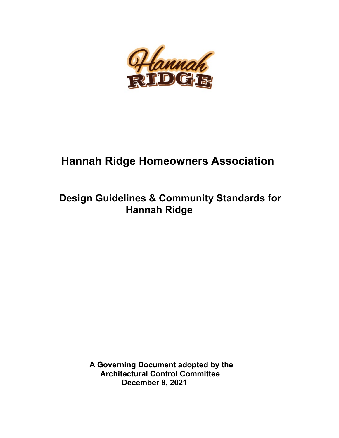

# **Hannah Ridge Homeowners Association**

# **Design Guidelines & Community Standards for Hannah Ridge**

 **A Governing Document adopted by the Architectural Control Committee December 8, 2021**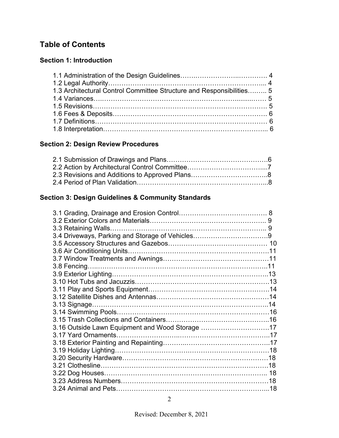# **Table of Contents**

# **Section 1: Introduction**

| 1.3 Architectural Control Committee Structure and Responsibilities 5 |  |
|----------------------------------------------------------------------|--|
|                                                                      |  |
|                                                                      |  |
|                                                                      |  |
|                                                                      |  |
|                                                                      |  |

## **Section 2: Design Review Procedures**

# **Section 3: Design Guidelines & Community Standards**

| 3.16 Outside Lawn Equipment and Wood Storage 17 |  |
|-------------------------------------------------|--|
|                                                 |  |
|                                                 |  |
|                                                 |  |
|                                                 |  |
|                                                 |  |
|                                                 |  |
|                                                 |  |
|                                                 |  |
|                                                 |  |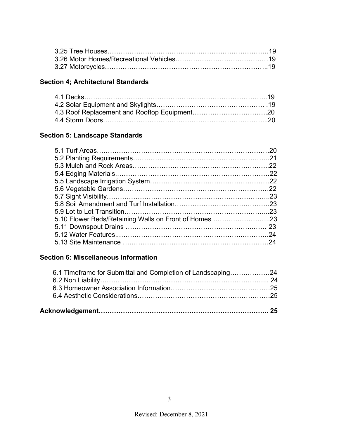| 3.27 Motorcycles…………………………………………………………………19 |
|---------------------------------------------|

# **Section 4; Architectural Standards**

# **Section 5: Landscape Standards**

|                                                       | 20  |
|-------------------------------------------------------|-----|
|                                                       | -21 |
|                                                       |     |
|                                                       |     |
|                                                       |     |
|                                                       |     |
|                                                       |     |
|                                                       |     |
|                                                       | .23 |
| 5.10 Flower Beds/Retaining Walls on Front of Homes 23 |     |
|                                                       | 23  |
|                                                       | 24  |
|                                                       | 24  |
|                                                       |     |

## **Section 6: Miscellaneous Information**

| 6.1 Timeframe for Submittal and Completion of Landscaping24 |  |
|-------------------------------------------------------------|--|
|                                                             |  |
|                                                             |  |
|                                                             |  |
|                                                             |  |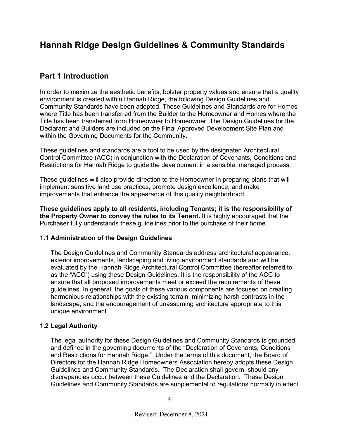# **Part 1 Introduction**

In order to maximize the aesthetic benefits, bolster property values and ensure that a quality environment is created within Hannah Ridge, the following Design Guidelines and Community Standards have been adopted. These Guidelines and Standards are for Homes where Title has been transferred from the Builder to the Homeowner and Homes where the Title has been transferred from Homeowner to Homeowner. The Design Guidelines for the Declarant and Builders are included on the Final Approved Development Site Plan and within the Governing Documents for the Community.

These guidelines and standards are a tool to be used by the designated Architectural Control Committee (ACC) in conjunction with the Declaration of Covenants, Conditions and Restrictions for Hannah Ridge to guide the development in a sensible, managed process.

These guidelines will also provide direction to the Homeowner in preparing plans that will implement sensitive land use practices, promote design excellence, and make improvements that enhance the appearance of this quality neighborhood.

**These guidelines apply to all residents, including Tenants; it is the responsibility of the Property Owner to convey the rules to its Tenant.** It is highly encouraged that the Purchaser fully understands these guidelines prior to the purchase of their home.

## **1.1 Administration of the Design Guidelines**

The Design Guidelines and Community Standards address architectural appearance, exterior improvements, landscaping and living environment standards and will be evaluated by the Hannah Ridge Architectural Control Committee (hereafter referred to as the "ACC") using these Design Guidelines. It is the responsibility of the ACC to ensure that all proposed improvements meet or exceed the requirements of these guidelines. In general, the goals of these various components are focused on creating harmonious relationships with the existing terrain, minimizing harsh contrasts in the landscape, and the encouragement of unassuming architecture appropriate to this unique environment.

## **1.2 Legal Authority**

The legal authority for these Design Guidelines and Community Standards is grounded and defined in the governing documents of the "Declaration of Covenants, Conditions and Restrictions for Hannah Ridge." Under the terms of this document, the Board of Directors for the Hannah Ridge Homeowners Association hereby adopts these Design Guidelines and Community Standards. The Declaration shall govern, should any discrepancies occur between these Guidelines and the Declaration. These Design Guidelines and Community Standards are supplemental to regulations normally in effect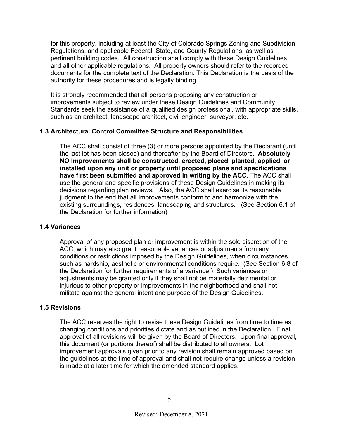for this property, including at least the City of Colorado Springs Zoning and Subdivision Regulations, and applicable Federal, State, and County Regulations, as well as pertinent building codes. All construction shall comply with these Design Guidelines and all other applicable regulations. All property owners should refer to the recorded documents for the complete text of the Declaration. This Declaration is the basis of the authority for these procedures and is legally binding.

It is strongly recommended that all persons proposing any construction or improvements subject to review under these Design Guidelines and Community Standards seek the assistance of a qualified design professional, with appropriate skills, such as an architect, landscape architect, civil engineer, surveyor, etc.

#### **1.3 Architectural Control Committee Structure and Responsibilities**

The ACC shall consist of three (3) or more persons appointed by the Declarant (until the last lot has been closed) and thereafter by the Board of Directors. **Absolutely NO Improvements shall be constructed, erected, placed, planted, applied, or installed upon any unit or property until proposed plans and specifications have first been submitted and approved in writing by the ACC.** The ACC shall use the general and specific provisions of these Design Guidelines in making its decisions regarding plan reviews**.** Also, the ACC shall exercise its reasonable judgment to the end that all Improvements conform to and harmonize with the existing surroundings, residences, landscaping and structures. (See Section 6.1 of the Declaration for further information)

#### **1.4 Variances**

Approval of any proposed plan or improvement is within the sole discretion of the ACC, which may also grant reasonable variances or adjustments from any conditions or restrictions imposed by the Design Guidelines, when circumstances such as hardship, aesthetic or environmental conditions require. (See Section 6.8 of the Declaration for further requirements of a variance.) Such variances or adjustments may be granted only if they shall not be materially detrimental or injurious to other property or improvements in the neighborhood and shall not militate against the general intent and purpose of the Design Guidelines.

#### **1.5 Revisions**

The ACC reserves the right to revise these Design Guidelines from time to time as changing conditions and priorities dictate and as outlined in the Declaration. Final approval of all revisions will be given by the Board of Directors. Upon final approval, this document (or portions thereof) shall be distributed to all owners. Lot improvement approvals given prior to any revision shall remain approved based on the guidelines at the time of approval and shall not require change unless a revision is made at a later time for which the amended standard applies.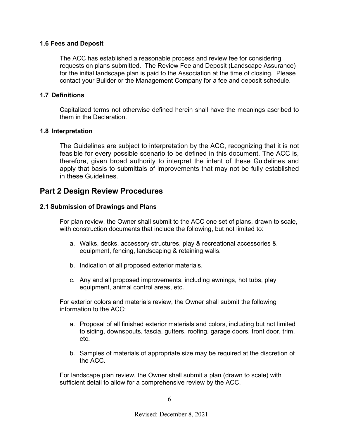#### **1.6 Fees and Deposit**

The ACC has established a reasonable process and review fee for considering requests on plans submitted. The Review Fee and Deposit (Landscape Assurance) for the initial landscape plan is paid to the Association at the time of closing. Please contact your Builder or the Management Company for a fee and deposit schedule.

#### **1.7 Definitions**

Capitalized terms not otherwise defined herein shall have the meanings ascribed to them in the Declaration.

#### **1.8 Interpretation**

The Guidelines are subject to interpretation by the ACC, recognizing that it is not feasible for every possible scenario to be defined in this document. The ACC is, therefore, given broad authority to interpret the intent of these Guidelines and apply that basis to submittals of improvements that may not be fully established in these Guidelines.

## **Part 2 Design Review Procedures**

#### **2.1 Submission of Drawings and Plans**

For plan review, the Owner shall submit to the ACC one set of plans, drawn to scale, with construction documents that include the following, but not limited to:

- a. Walks, decks, accessory structures, play & recreational accessories & equipment, fencing, landscaping & retaining walls.
- b. Indication of all proposed exterior materials.
- c. Any and all proposed improvements, including awnings, hot tubs, play equipment, animal control areas, etc.

For exterior colors and materials review, the Owner shall submit the following information to the ACC:

- a. Proposal of all finished exterior materials and colors, including but not limited to siding, downspouts, fascia, gutters, roofing, garage doors, front door, trim, etc.
- b. Samples of materials of appropriate size may be required at the discretion of the ACC.

For landscape plan review, the Owner shall submit a plan (drawn to scale) with sufficient detail to allow for a comprehensive review by the ACC.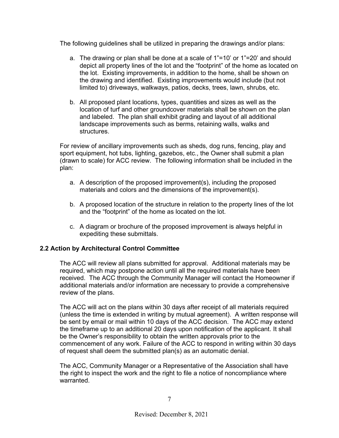The following guidelines shall be utilized in preparing the drawings and/or plans:

- a. The drawing or plan shall be done at a scale of 1"=10' or 1"=20' and should depict all property lines of the lot and the "footprint" of the home as located on the lot. Existing improvements, in addition to the home, shall be shown on the drawing and identified. Existing improvements would include (but not limited to) driveways, walkways, patios, decks, trees, lawn, shrubs, etc.
- b. All proposed plant locations, types, quantities and sizes as well as the location of turf and other groundcover materials shall be shown on the plan and labeled. The plan shall exhibit grading and layout of all additional landscape improvements such as berms, retaining walls, walks and structures.

For review of ancillary improvements such as sheds, dog runs, fencing, play and sport equipment, hot tubs, lighting, gazebos, etc., the Owner shall submit a plan (drawn to scale) for ACC review. The following information shall be included in the plan:

- a. A description of the proposed improvement(s), including the proposed materials and colors and the dimensions of the improvement(s).
- b. A proposed location of the structure in relation to the property lines of the lot and the "footprint" of the home as located on the lot.
- c. A diagram or brochure of the proposed improvement is always helpful in expediting these submittals.

#### **2.2 Action by Architectural Control Committee**

The ACC will review all plans submitted for approval. Additional materials may be required, which may postpone action until all the required materials have been received. The ACC through the Community Manager will contact the Homeowner if additional materials and/or information are necessary to provide a comprehensive review of the plans.

The ACC will act on the plans within 30 days after receipt of all materials required (unless the time is extended in writing by mutual agreement). A written response will be sent by email or mail within 10 days of the ACC decision. The ACC may extend the timeframe up to an additional 20 days upon notification of the applicant. It shall be the Owner's responsibility to obtain the written approvals prior to the commencement of any work. Failure of the ACC to respond in writing within 30 days of request shall deem the submitted plan(s) as an automatic denial.

The ACC, Community Manager or a Representative of the Association shall have the right to inspect the work and the right to file a notice of noncompliance where warranted.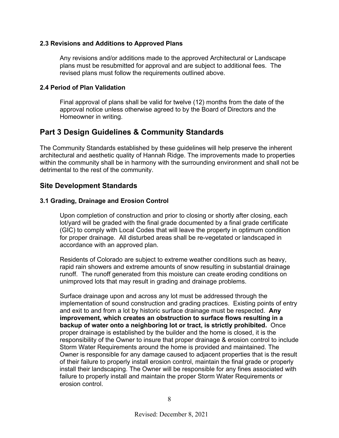#### **2.3 Revisions and Additions to Approved Plans**

Any revisions and/or additions made to the approved Architectural or Landscape plans must be resubmitted for approval and are subject to additional fees. The revised plans must follow the requirements outlined above.

#### **2.4 Period of Plan Validation**

Final approval of plans shall be valid for twelve (12) months from the date of the approval notice unless otherwise agreed to by the Board of Directors and the Homeowner in writing.

# **Part 3 Design Guidelines & Community Standards**

The Community Standards established by these guidelines will help preserve the inherent architectural and aesthetic quality of Hannah Ridge. The improvements made to properties within the community shall be in harmony with the surrounding environment and shall not be detrimental to the rest of the community.

#### **Site Development Standards**

#### **3.1 Grading, Drainage and Erosion Control**

Upon completion of construction and prior to closing or shortly after closing, each lot/yard will be graded with the final grade documented by a final grade certificate (GIC) to comply with Local Codes that will leave the property in optimum condition for proper drainage. All disturbed areas shall be re-vegetated or landscaped in accordance with an approved plan.

Residents of Colorado are subject to extreme weather conditions such as heavy, rapid rain showers and extreme amounts of snow resulting in substantial drainage runoff. The runoff generated from this moisture can create eroding conditions on unimproved lots that may result in grading and drainage problems.

Surface drainage upon and across any lot must be addressed through the implementation of sound construction and grading practices. Existing points of entry and exit to and from a lot by historic surface drainage must be respected. **Any improvement, which creates an obstruction to surface flows resulting in a backup of water onto a neighboring lot or tract, is strictly prohibited.** Once proper drainage is established by the builder and the home is closed, it is the responsibility of the Owner to insure that proper drainage & erosion control to include Storm Water Requirements around the home is provided and maintained. The Owner is responsible for any damage caused to adjacent properties that is the result of their failure to properly install erosion control, maintain the final grade or properly install their landscaping. The Owner will be responsible for any fines associated with failure to properly install and maintain the proper Storm Water Requirements or erosion control.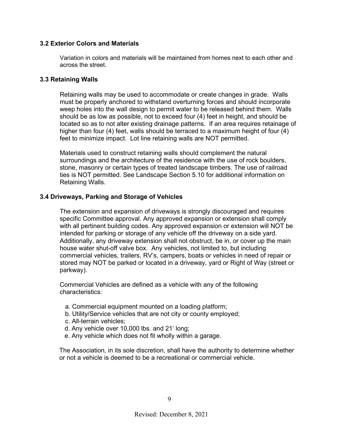#### **3.2 Exterior Colors and Materials**

Variation in colors and materials will be maintained from homes next to each other and across the street.

#### **3.3 Retaining Walls**

Retaining walls may be used to accommodate or create changes in grade. Walls must be properly anchored to withstand overturning forces and should incorporate weep holes into the wall design to permit water to be released behind them. Walls should be as low as possible, not to exceed four (4) feet in height, and should be located so as to not alter existing drainage patterns. If an area requires retainage of higher than four (4) feet, walls should be terraced to a maximum height of four (4) feet to minimize impact. Lot line retaining walls are NOT permitted.

Materials used to construct retaining walls should complement the natural surroundings and the architecture of the residence with the use of rock boulders, stone, masonry or certain types of treated landscape timbers. The use of railroad ties is NOT permitted. See Landscape Section 5.10 for additional information on Retaining Walls.

#### **3.4 Driveways, Parking and Storage of Vehicles**

The extension and expansion of driveways is strongly discouraged and requires specific Committee approval. Any approved expansion or extension shall comply with all pertinent building codes. Any approved expansion or extension will NOT be intended for parking or storage of any vehicle off the driveway on a side yard. Additionally, any driveway extension shall not obstruct, be in, or cover up the main house water shut-off valve box. Any vehicles, not limited to, but including commercial vehicles, trailers, RV's, campers, boats or vehicles in need of repair or stored may NOT be parked or located in a driveway, yard or Right of Way (street or parkway).

Commercial Vehicles are defined as a vehicle with any of the following characteristics:

- a. Commercial equipment mounted on a loading platform;
- b. Utility/Service vehicles that are not city or county employed;
- c. All-terrain vehicles;
- d. Any vehicle over 10,000 lbs. and 21' long;
- e. Any vehicle which does not fit wholly within a garage.

 The Association, in its sole discretion, shall have the authority to determine whether or not a vehicle is deemed to be a recreational or commercial vehicle.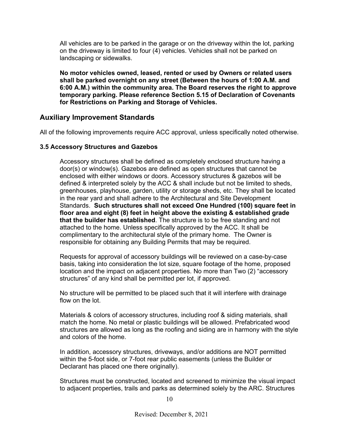All vehicles are to be parked in the garage or on the driveway within the lot, parking on the driveway is limited to four (4) vehicles. Vehicles shall not be parked on landscaping or sidewalks.

**No motor vehicles owned, leased, rented or used by Owners or related users shall be parked overnight on any street (Between the hours of 1:00 A.M. and 6:00 A.M.) within the community area. The Board reserves the right to approve temporary parking. Please reference Section 5.15 of Declaration of Covenants for Restrictions on Parking and Storage of Vehicles.**

### **Auxiliary Improvement Standards**

All of the following improvements require ACC approval, unless specifically noted otherwise.

#### **3.5 Accessory Structures and Gazebos**

Accessory structures shall be defined as completely enclosed structure having a door(s) or window(s). Gazebos are defined as open structures that cannot be enclosed with either windows or doors. Accessory structures & gazebos will be defined & interpreted solely by the ACC & shall include but not be limited to sheds, greenhouses, playhouse, garden, utility or storage sheds, etc. They shall be located in the rear yard and shall adhere to the Architectural and Site Development Standards. **Such structures shall not exceed One Hundred (100) square feet in floor area and eight (8) feet in height above the existing & established grade that the builder has established**. The structure is to be free standing and not attached to the home. Unless specifically approved by the ACC. It shall be complimentary to the architectural style of the primary home. The Owner is responsible for obtaining any Building Permits that may be required.

Requests for approval of accessory buildings will be reviewed on a case-by-case basis, taking into consideration the lot size, square footage of the home, proposed location and the impact on adjacent properties. No more than Two (2) "accessory structures" of any kind shall be permitted per lot, if approved.

No structure will be permitted to be placed such that it will interfere with drainage flow on the lot.

Materials & colors of accessory structures, including roof & siding materials, shall match the home. No metal or plastic buildings will be allowed. Prefabricated wood structures are allowed as long as the roofing and siding are in harmony with the style and colors of the home.

In addition, accessory structures, driveways, and/or additions are NOT permitted within the 5-foot side, or 7-foot rear public easements (unless the Builder or Declarant has placed one there originally).

Structures must be constructed, located and screened to minimize the visual impact to adjacent properties, trails and parks as determined solely by the ARC. Structures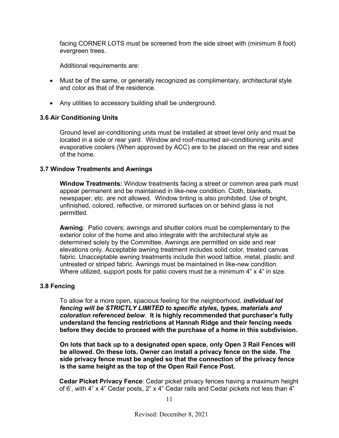facing CORNER LOTS must be screened from the side street with (minimum 8 foot) evergreen trees.

Additional requirements are:

- Must be of the same, or generally recognized as complimentary, architectural style and color as that of the residence.
- Any utilities to accessory building shall be underground.

#### **3.6 Air Conditioning Units**

Ground level air-conditioning units must be installed at street level only and must be located in a side or rear yard. Window and roof-mounted air-conditioning units and evaporative coolers (When approved by ACC) are to be placed on the rear and sides of the home.

#### **3.7 Window Treatments and Awnings**

**Window Treatments:** Window treatments facing a street or common area park must appear permanent and be maintained in like-new condition. Cloth, blankets, newspaper, etc. are not allowed. Window tinting is also prohibited. Use of bright, unfinished, colored, reflective, or mirrored surfaces on or behind glass is not permitted.

**Awning**: Patio covers; awnings and shutter colors must be complementary to the exterior color of the home and also integrate with the architectural style as determined solely by the Committee. Awnings are permitted on side and rear elevations only. Acceptable awning treatment includes solid color, treated canvas fabric. Unacceptable awning treatments include thin wood lattice, metal, plastic and untreated or striped fabric. Awnings must be maintained in like-new condition. Where utilized, support posts for patio covers must be a minimum 4" x 4" in size.

#### **3.8 Fencing**

To allow for a more open, spacious feeling for the neighborhood, *individual lot fencing will be STRICTLY LIMITED to specific styles, types, materials and coloration referenced below*. **It is highly recommended that purchaser's fully understand the fencing restrictions at Hannah Ridge and their fencing needs before they decide to proceed with the purchase of a home in this subdivision.**

**On lots that back up to a designated open space, only Open 3 Rail Fences will be allowed. On these lots, Owner can install a privacy fence on the side. The side privacy fence must be angled so that the connection of the privacy fence is the same height as the top of the Open Rail Fence Post.** 

 **Cedar Picket Privacy Fence**: Cedar picket privacy fences having a maximum height of 6', with 4" x 4" Cedar posts, 2" x 4" Cedar rails and Cedar pickets not less than 4"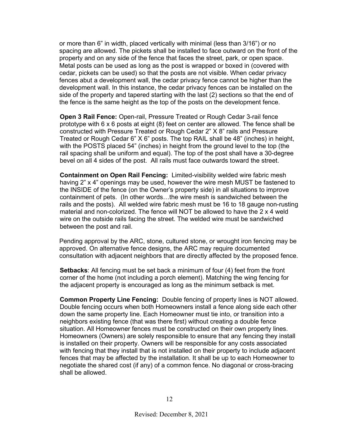or more than 6" in width, placed vertically with minimal (less than 3/16") or no spacing are allowed. The pickets shall be installed to face outward on the front of the property and on any side of the fence that faces the street, park, or open space. Metal posts can be used as long as the post is wrapped or boxed in (covered with cedar, pickets can be used) so that the posts are not visible. When cedar privacy fences abut a development wall, the cedar privacy fence cannot be higher than the development wall. In this instance, the cedar privacy fences can be installed on the side of the property and tapered starting with the last (2) sections so that the end of the fence is the same height as the top of the posts on the development fence.

**Open 3 Rail Fence:** Open-rail, Pressure Treated or Rough Cedar 3-rail fence prototype with 6 x 6 posts at eight (8) feet on center are allowed. The fence shall be constructed with Pressure Treated or Rough Cedar 2" X 8" rails and Pressure Treated or Rough Cedar 6" X 6" posts. The top RAIL shall be 48" (inches) in height, with the POSTS placed 54" (inches) in height from the ground level to the top (the rail spacing shall be uniform and equal). The top of the post shall have a 30-degree bevel on all 4 sides of the post. All rails must face outwards toward the street.

**Containment on Open Rail Fencing:** Limited-visibility welded wire fabric mesh having 2" x 4" openings may be used, however the wire mesh MUST be fastened to the INSIDE of the fence (on the Owner's property side) in all situations to improve containment of pets. (In other words…the wire mesh is sandwiched between the rails and the posts). All welded wire fabric mesh must be 16 to 18 gauge non-rusting material and non-colorized. The fence will NOT be allowed to have the 2 x 4 weld wire on the outside rails facing the street. The welded wire must be sandwiched between the post and rail.

 Pending approval by the ARC, stone, cultured stone, or wrought iron fencing may be approved. On alternative fence designs, the ARC may require documented consultation with adjacent neighbors that are directly affected by the proposed fence.

**Setbacks**: All fencing must be set back a minimum of four (4) feet from the front corner of the home (not including a porch element). Matching the wing fencing for the adjacent property is encouraged as long as the minimum setback is met.

**Common Property Line Fencing:** Double fencing of property lines is NOT allowed. Double fencing occurs when both Homeowners install a fence along side each other down the same property line. Each Homeowner must tie into, or transition into a neighbors existing fence (that was there first) without creating a double fence situation. All Homeowner fences must be constructed on their own property lines. Homeowners (Owners) are solely responsible to ensure that any fencing they install is installed on their property. Owners will be responsible for any costs associated with fencing that they install that is not installed on their property to include adjacent fences that may be affected by the installation. It shall be up to each Homeowner to negotiate the shared cost (if any) of a common fence. No diagonal or cross-bracing shall be allowed.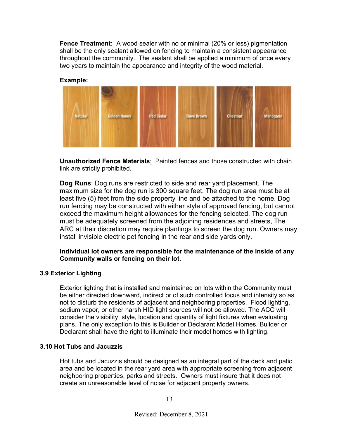**Fence Treatment:** A wood sealer with no or minimal (20% or less) pigmentation shall be the only sealant allowed on fencing to maintain a consistent appearance throughout the community. The sealant shall be applied a minimum of once every two years to maintain the appearance and integrity of the wood material.

#### **Example:**



**Unauthorized Fence Materials**: Painted fences and those constructed with chain link are strictly prohibited.

**Dog Runs**: Dog runs are restricted to side and rear yard placement. The maximum size for the dog run is 300 square feet. The dog run area must be at least five (5) feet from the side property line and be attached to the home. Dog run fencing may be constructed with either style of approved fencing, but cannot exceed the maximum height allowances for the fencing selected. The dog run must be adequately screened from the adjoining residences and streets, The ARC at their discretion may require plantings to screen the dog run. Owners may install invisible electric pet fencing in the rear and side yards only.

**Individual lot owners are responsible for the maintenance of the inside of any Community walls or fencing on their lot.** 

#### **3.9 Exterior Lighting**

Exterior lighting that is installed and maintained on lots within the Community must be either directed downward, indirect or of such controlled focus and intensity so as not to disturb the residents of adjacent and neighboring properties. Flood lighting, sodium vapor, or other harsh HID light sources will not be allowed. The ACC will consider the visibility, style, location and quantity of light fixtures when evaluating plans. The only exception to this is Builder or Declarant Model Homes. Builder or Declarant shall have the right to illuminate their model homes with lighting.

#### **3.10 Hot Tubs and Jacuzzis**

Hot tubs and Jacuzzis should be designed as an integral part of the deck and patio area and be located in the rear yard area with appropriate screening from adjacent neighboring properties, parks and streets. Owners must insure that it does not create an unreasonable level of noise for adjacent property owners.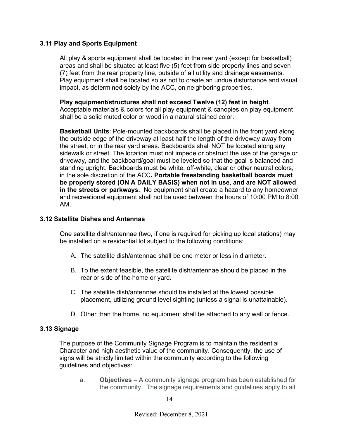#### **3.11 Play and Sports Equipment**

All play & sports equipment shall be located in the rear yard (except for basketball) areas and shall be situated at least five (5) feet from side property lines and seven (7) feet from the rear property line, outside of all utility and drainage easements. Play equipment shall be located so as not to create an undue disturbance and visual impact, as determined solely by the ACC, on neighboring properties.

**Play equipment/structures shall not exceed Twelve (12) feet in height**. Acceptable materials & colors for all play equipment & canopies on play equipment shall be a solid muted color or wood in a natural stained color.

**Basketball Units**: Pole-mounted backboards shall be placed in the front yard along the outside edge of the driveway at least half the length of the driveway away from the street, or in the rear yard areas. Backboards shall NOT be located along any sidewalk or street. The location must not impede or obstruct the use of the garage or driveway, and the backboard/goal must be leveled so that the goal is balanced and standing upright. Backboards must be white, off-white, clear or other neutral colors, in the sole discretion of the ACC**. Portable freestanding basketball boards must be properly stored (ON A DAILY BASIS) when not in use, and are NOT allowed in the streets or parkways.** No equipment shall create a hazard to any homeowner and recreational equipment shall not be used between the hours of 10:00 PM to 8:00 AM.

#### **3.12 Satellite Dishes and Antennas**

One satellite dish/antennae (two, if one is required for picking up local stations) may be installed on a residential lot subject to the following conditions:

- A. The satellite dish/antennae shall be one meter or less in diameter.
- B. To the extent feasible, the satellite dish/antennae should be placed in the rear or side of the home or yard.
- C. The satellite dish/antennae should be installed at the lowest possible placement, utilizing ground level sighting (unless a signal is unattainable).
- D. Other than the home, no equipment shall be attached to any wall or fence.

#### **3.13 Signage**

 The purpose of the Community Signage Program is to maintain the residential Character and high aesthetic value of the community. Consequently, the use of signs will be strictly limited within the community according to the following guidelines and objectives:

a. **Objectives –** A community signage program has been established for the community. The signage requirements and guidelines apply to all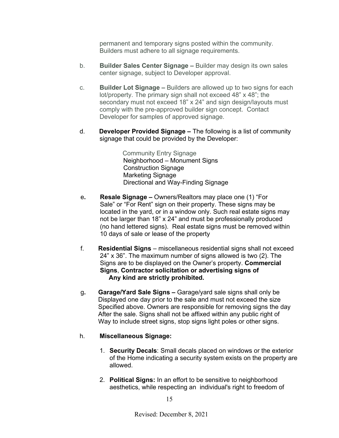permanent and temporary signs posted within the community. Builders must adhere to all signage requirements.

- b. **Builder Sales Center Signage –** Builder may design its own sales center signage, subject to Developer approval.
- c. **Builder Lot Signage –** Builders are allowed up to two signs for each lot/property. The primary sign shall not exceed 48" x 48"; the secondary must not exceed 18" x 24" and sign design/layouts must comply with the pre-approved builder sign concept. Contact Developer for samples of approved signage.
- d. **Developer Provided Signage –** The following is a list of community signage that could be provided by the Developer:

 Community Entry Signage Neighborhood – Monument Signs Construction Signage Marketing Signage Directional and Way-Finding Signage

- e**. Resale Signage –** Owners/Realtors may place one (1) "For Sale" or "For Rent" sign on their property. These signs may be located in the yard, or in a window only. Such real estate signs may not be larger than 18" x 24" and must be professionally produced (no hand lettered signs). Real estate signs must be removed within 10 days of sale or lease of the property
- f. **Residential Signs** miscellaneous residential signs shall not exceed 24" x 36". The maximum number of signs allowed is two (2). The Signs are to be displayed on the Owner's property. **Commercial Signs**, **Contractor solicitation or advertising signs of Any kind are strictly prohibited.**
- g**. Garage/Yard Sale Signs –** Garage/yard sale signs shall only be Displayed one day prior to the sale and must not exceed the size Specified above. Owners are responsible for removing signs the day After the sale. Signs shall not be affixed within any public right of Way to include street signs, stop signs light poles or other signs.

#### h. **Miscellaneous Signage:**

- 1. **Security Decals**: Small decals placed on windows or the exterior of the Home indicating a security system exists on the property are allowed.
- 2. **Political Signs:** In an effort to be sensitive to neighborhood aesthetics, while respecting an individual's right to freedom of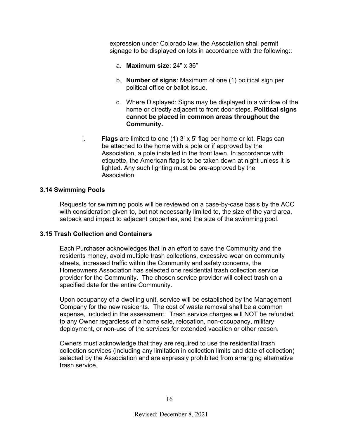expression under Colorado law, the Association shall permit signage to be displayed on lots in accordance with the following::

- a. **Maximum size**: 24" x 36"
- b. **Number of signs**: Maximum of one (1) political sign per political office or ballot issue.
- c. Where Displayed: Signs may be displayed in a window of the home or directly adjacent to front door steps. **Political signs cannot be placed in common areas throughout the Community.**
- i. **Flags** are limited to one (1) 3' x 5' flag per home or lot. Flags can be attached to the home with a pole or if approved by the Association, a pole installed in the front lawn. In accordance with etiquette, the American flag is to be taken down at night unless it is lighted. Any such lighting must be pre-approved by the Association.

#### **3.14 Swimming Pools**

Requests for swimming pools will be reviewed on a case-by-case basis by the ACC with consideration given to, but not necessarily limited to, the size of the yard area, setback and impact to adjacent properties, and the size of the swimming pool.

#### **3.15 Trash Collection and Containers**

Each Purchaser acknowledges that in an effort to save the Community and the residents money, avoid multiple trash collections, excessive wear on community streets, increased traffic within the Community and safety concerns, the Homeowners Association has selected one residential trash collection service provider for the Community. The chosen service provider will collect trash on a specified date for the entire Community.

Upon occupancy of a dwelling unit, service will be established by the Management Company for the new residents. The cost of waste removal shall be a common expense, included in the assessment. Trash service charges will NOT be refunded to any Owner regardless of a home sale, relocation, non-occupancy, military deployment, or non-use of the services for extended vacation or other reason.

Owners must acknowledge that they are required to use the residential trash collection services (including any limitation in collection limits and date of collection) selected by the Association and are expressly prohibited from arranging alternative trash service.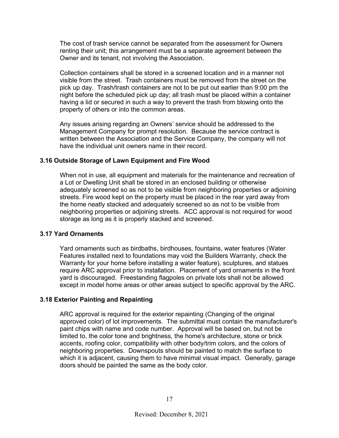The cost of trash service cannot be separated from the assessment for Owners renting their unit; this arrangement must be a separate agreement between the Owner and its tenant, not involving the Association.

Collection containers shall be stored in a screened location and in a manner not visible from the street. Trash containers must be removed from the street on the pick up day. Trash/trash containers are not to be put out earlier than 9:00 pm the night before the scheduled pick up day; all trash must be placed within a container having a lid or secured in such a way to prevent the trash from blowing onto the property of others or into the common areas.

Any issues arising regarding an Owners' service should be addressed to the Management Company for prompt resolution. Because the service contract is written between the Association and the Service Company, the company will not have the individual unit owners name in their record.

#### **3.16 Outside Storage of Lawn Equipment and Fire Wood**

When not in use, all equipment and materials for the maintenance and recreation of a Lot or Dwelling Unit shall be stored in an enclosed building or otherwise adequately screened so as not to be visible from neighboring properties or adjoining streets. Fire wood kept on the property must be placed in the rear yard away from the home neatly stacked and adequately screened so as not to be visible from neighboring properties or adjoining streets. ACC approval is not required for wood storage as long as it is properly stacked and screened.

#### **3.17 Yard Ornaments**

Yard ornaments such as birdbaths, birdhouses, fountains, water features (Water Features installed next to foundations may void the Builders Warranty, check the Warranty for your home before installing a water feature), sculptures, and statues require ARC approval prior to installation. Placement of yard ornaments in the front yard is discouraged. Freestanding flagpoles on private lots shall not be allowed except in model home areas or other areas subject to specific approval by the ARC.

#### **3.18 Exterior Painting and Repainting**

ARC approval is required for the exterior repainting (Changing of the original approved color) of lot improvements. The submittal must contain the manufacturer's paint chips with name and code number. Approval will be based on, but not be limited to, the color tone and brightness, the home's architecture, stone or brick accents, roofing color, compatibility with other body/trim colors, and the colors of neighboring properties. Downspouts should be painted to match the surface to which it is adjacent, causing them to have minimal visual impact. Generally, garage doors should be painted the same as the body color.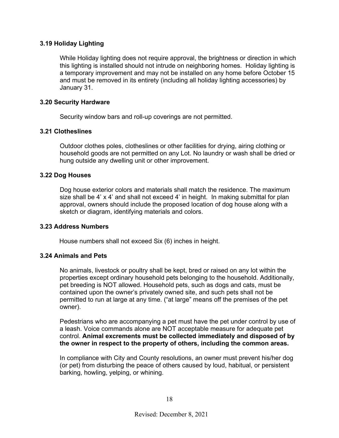#### **3.19 Holiday Lighting**

While Holiday lighting does not require approval, the brightness or direction in which this lighting is installed should not intrude on neighboring homes. Holiday lighting is a temporary improvement and may not be installed on any home before October 15 and must be removed in its entirety (including all holiday lighting accessories) by January 31.

#### **3.20 Security Hardware**

Security window bars and roll-up coverings are not permitted.

#### **3.21 Clotheslines**

Outdoor clothes poles, clotheslines or other facilities for drying, airing clothing or household goods are not permitted on any Lot. No laundry or wash shall be dried or hung outside any dwelling unit or other improvement.

#### **3.22 Dog Houses**

Dog house exterior colors and materials shall match the residence. The maximum size shall be 4' x 4' and shall not exceed 4' in height. In making submittal for plan approval, owners should include the proposed location of dog house along with a sketch or diagram, identifying materials and colors.

#### **3.23 Address Numbers**

House numbers shall not exceed Six (6) inches in height.

#### **3.24 Animals and Pets**

No animals, livestock or poultry shall be kept, bred or raised on any lot within the properties except ordinary household pets belonging to the household. Additionally, pet breeding is NOT allowed. Household pets, such as dogs and cats, must be contained upon the owner's privately owned site, and such pets shall not be permitted to run at large at any time. ("at large" means off the premises of the pet owner).

Pedestrians who are accompanying a pet must have the pet under control by use of a leash. Voice commands alone are NOT acceptable measure for adequate pet control. **Animal excrements must be collected immediately and disposed of by the owner in respect to the property of others, including the common areas.**

In compliance with City and County resolutions, an owner must prevent his/her dog (or pet) from disturbing the peace of others caused by loud, habitual, or persistent barking, howling, yelping, or whining.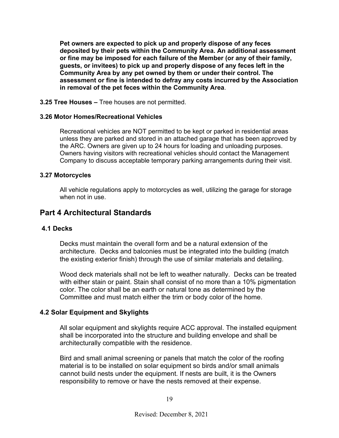**Pet owners are expected to pick up and properly dispose of any feces deposited by their pets within the Community Area. An additional assessment or fine may be imposed for each failure of the Member (or any of their family, guests, or invitees) to pick up and properly dispose of any feces left in the Community Area by any pet owned by them or under their control. The assessment or fine is intended to defray any costs incurred by the Association in removal of the pet feces within the Community Area**.

#### **3.25 Tree Houses –** Tree houses are not permitted.

#### **3.26 Motor Homes/Recreational Vehicles**

Recreational vehicles are NOT permitted to be kept or parked in residential areas unless they are parked and stored in an attached garage that has been approved by the ARC. Owners are given up to 24 hours for loading and unloading purposes. Owners having visitors with recreational vehicles should contact the Management Company to discuss acceptable temporary parking arrangements during their visit.

#### **3.27 Motorcycles**

All vehicle regulations apply to motorcycles as well, utilizing the garage for storage when not in use.

# **Part 4 Architectural Standards**

#### **4.1 Decks**

Decks must maintain the overall form and be a natural extension of the architecture. Decks and balconies must be integrated into the building (match the existing exterior finish) through the use of similar materials and detailing.

Wood deck materials shall not be left to weather naturally. Decks can be treated with either stain or paint. Stain shall consist of no more than a 10% pigmentation color. The color shall be an earth or natural tone as determined by the Committee and must match either the trim or body color of the home.

#### **4.2 Solar Equipment and Skylights**

All solar equipment and skylights require ACC approval. The installed equipment shall be incorporated into the structure and building envelope and shall be architecturally compatible with the residence.

Bird and small animal screening or panels that match the color of the roofing material is to be installed on solar equipment so birds and/or small animals cannot build nests under the equipment. If nests are built, it is the Owners responsibility to remove or have the nests removed at their expense.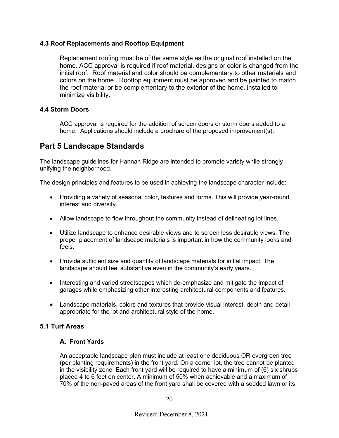#### **4.3 Roof Replacements and Rooftop Equipment**

Replacement roofing must be of the same style as the original roof installed on the home. ACC approval is required if roof material, designs or color is changed from the initial roof. Roof material and color should be complementary to other materials and colors on the home. Rooftop equipment must be approved and be painted to match the roof material or be complementary to the exterior of the home, installed to minimize visibility.

#### **4.4 Storm Doors**

ACC approval is required for the addition of screen doors or storm doors added to a home. Applications should include a brochure of the proposed improvement(s).

# **Part 5 Landscape Standards**

The landscape guidelines for Hannah Ridge are intended to promote variety while strongly unifying the neighborhood.

The design principles and features to be used in achieving the landscape character include:

- Providing a variety of seasonal color, textures and forms. This will provide year-round interest and diversity.
- Allow landscape to flow throughout the community instead of delineating lot lines.
- Utilize landscape to enhance desirable views and to screen less desirable views. The proper placement of landscape materials is important in how the community looks and feels.
- Provide sufficient size and quantity of landscape materials for initial impact. The landscape should feel substantive even in the community's early years.
- Interesting and varied streetscapes which de-emphasize and mitigate the impact of garages while emphasizing other interesting architectural components and features.
- Landscape materials, colors and textures that provide visual interest, depth and detail appropriate for the lot and architectural style of the home.

## **5.1 Turf Areas**

#### **A. Front Yards**

An acceptable landscape plan must include at least one deciduous OR evergreen tree (per planting requirements) in the front yard. On a corner lot, the tree cannot be planted in the visibility zone. Each front yard will be required to have a minimum of (6) six shrubs placed 4 to 6 feet on center. A minimum of 50% when achievable and a maximum of 70% of the non-paved areas of the front yard shall be covered with a sodded lawn or its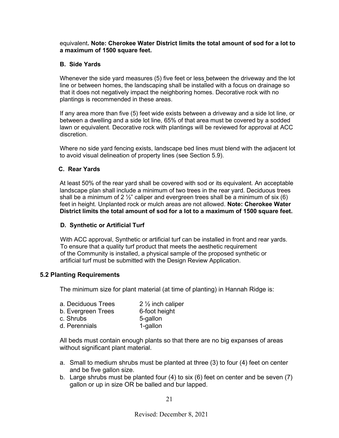#### equivalent**. Note: Cherokee Water District limits the total amount of sod for a lot to a maximum of 1500 square feet.**

#### **B. Side Yards**

Whenever the side yard measures (5) five feet or less between the driveway and the lot line or between homes, the landscaping shall be installed with a focus on drainage so that it does not negatively impact the neighboring homes. Decorative rock with no plantings is recommended in these areas.

If any area more than five (5) feet wide exists between a driveway and a side lot line, or between a dwelling and a side lot line, 65% of that area must be covered by a sodded lawn or equivalent. Decorative rock with plantings will be reviewed for approval at ACC discretion.

Where no side yard fencing exists, landscape bed lines must blend with the adjacent lot to avoid visual delineation of property lines (see Section 5.9).

#### **C. Rear Yards**

At least 50% of the rear yard shall be covered with sod or its equivalent. An acceptable landscape plan shall include a minimum of two trees in the rear yard. Deciduous trees shall be a minimum of 2  $\frac{1}{2}$ " caliper and evergreen trees shall be a minimum of six (6) feet in height. Unplanted rock or mulch areas are not allowed. **Note: Cherokee Water District limits the total amount of sod for a lot to a maximum of 1500 square feet.** 

#### **D. Synthetic or Artificial Turf**

 With ACC approval, Synthetic or artificial turf can be installed in front and rear yards. To ensure that a quality turf product that meets the aesthetic requirement of the Community is installed, a physical sample of the proposed synthetic or artificial turf must be submitted with the Design Review Application.

#### **5.2 Planting Requirements**

The minimum size for plant material (at time of planting) in Hannah Ridge is:

| a. Deciduous Trees | 2 $\frac{1}{2}$ inch caliper |
|--------------------|------------------------------|
| b. Evergreen Trees | 6-foot height                |
| c. Shrubs          | 5-gallon                     |
| d. Perennials      | 1-gallon                     |

All beds must contain enough plants so that there are no big expanses of areas without significant plant material.

- a. Small to medium shrubs must be planted at three (3) to four (4) feet on center and be five gallon size.
- b. Large shrubs must be planted four (4) to six (6) feet on center and be seven (7) gallon or up in size OR be balled and bur lapped.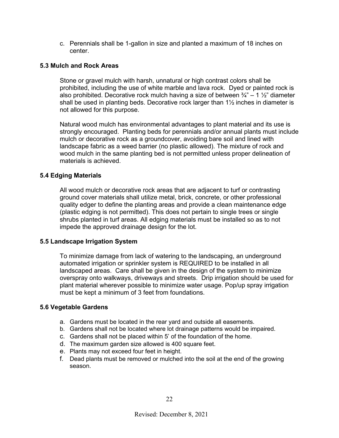c. Perennials shall be 1-gallon in size and planted a maximum of 18 inches on center.

#### **5.3 Mulch and Rock Areas**

Stone or gravel mulch with harsh, unnatural or high contrast colors shall be prohibited, including the use of white marble and lava rock. Dyed or painted rock is also prohibited. Decorative rock mulch having a size of between  $\frac{3}{4}$  – 1  $\frac{1}{2}$  diameter shall be used in planting beds. Decorative rock larger than 1½ inches in diameter is not allowed for this purpose.

Natural wood mulch has environmental advantages to plant material and its use is strongly encouraged. Planting beds for perennials and/or annual plants must include mulch or decorative rock as a groundcover, avoiding bare soil and lined with landscape fabric as a weed barrier (no plastic allowed). The mixture of rock and wood mulch in the same planting bed is not permitted unless proper delineation of materials is achieved.

#### **5.4 Edging Materials**

All wood mulch or decorative rock areas that are adjacent to turf or contrasting ground cover materials shall utilize metal, brick, concrete, or other professional quality edger to define the planting areas and provide a clean maintenance edge (plastic edging is not permitted). This does not pertain to single trees or single shrubs planted in turf areas. All edging materials must be installed so as to not impede the approved drainage design for the lot.

#### **5.5 Landscape Irrigation System**

To minimize damage from lack of watering to the landscaping, an underground automated irrigation or sprinkler system is REQUIRED to be installed in all landscaped areas. Care shall be given in the design of the system to minimize overspray onto walkways, driveways and streets. Drip irrigation should be used for plant material wherever possible to minimize water usage. Pop/up spray irrigation must be kept a minimum of 3 feet from foundations.

#### **5.6 Vegetable Gardens**

- a. Gardens must be located in the rear yard and outside all easements.
- b. Gardens shall not be located where lot drainage patterns would be impaired.
- c. Gardens shall not be placed within 5' of the foundation of the home.
- d. The maximum garden size allowed is 400 square feet.
- e. Plants may not exceed four feet in height.
- f. Dead plants must be removed or mulched into the soil at the end of the growing season.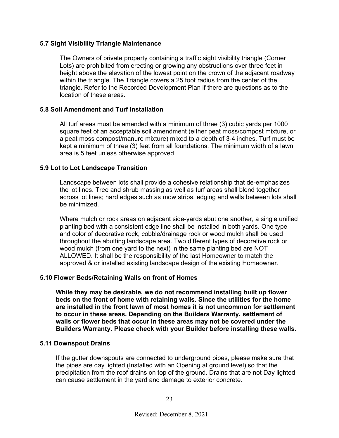#### **5.7 Sight Visibility Triangle Maintenance**

The Owners of private property containing a traffic sight visibility triangle (Corner Lots) are prohibited from erecting or growing any obstructions over three feet in height above the elevation of the lowest point on the crown of the adjacent roadway within the triangle. The Triangle covers a 25 foot radius from the center of the triangle. Refer to the Recorded Development Plan if there are questions as to the location of these areas.

#### **5.8 Soil Amendment and Turf Installation**

All turf areas must be amended with a minimum of three (3) cubic yards per 1000 square feet of an acceptable soil amendment (either peat moss/compost mixture, or a peat moss compost/manure mixture) mixed to a depth of 3-4 inches. Turf must be kept a minimum of three (3) feet from all foundations. The minimum width of a lawn area is 5 feet unless otherwise approved

#### **5.9 Lot to Lot Landscape Transition**

Landscape between lots shall provide a cohesive relationship that de-emphasizes the lot lines. Tree and shrub massing as well as turf areas shall blend together across lot lines; hard edges such as mow strips, edging and walls between lots shall be minimized.

Where mulch or rock areas on adjacent side-yards abut one another, a single unified planting bed with a consistent edge line shall be installed in both yards. One type and color of decorative rock, cobble/drainage rock or wood mulch shall be used throughout the abutting landscape area. Two different types of decorative rock or wood mulch (from one yard to the next) in the same planting bed are NOT ALLOWED. It shall be the responsibility of the last Homeowner to match the approved & or installed existing landscape design of the existing Homeowner.

#### **5.10 Flower Beds/Retaining Walls on front of Homes**

 **While they may be desirable, we do not recommend installing built up flower beds on the front of home with retaining walls. Since the utilities for the home are installed in the front lawn of most homes it is not uncommon for settlement to occur in these areas. Depending on the Builders Warranty, settlement of walls or flower beds that occur in these areas may not be covered under the Builders Warranty. Please check with your Builder before installing these walls.** 

#### **5.11 Downspout Drains**

 If the gutter downspouts are connected to underground pipes, please make sure that the pipes are day lighted (Installed with an Opening at ground level) so that the precipitation from the roof drains on top of the ground. Drains that are not Day lighted can cause settlement in the yard and damage to exterior concrete.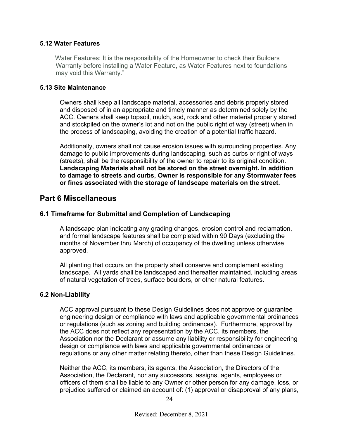#### **5.12 Water Features**

 Water Features: It is the responsibility of the Homeowner to check their Builders Warranty before installing a Water Feature, as Water Features next to foundations may void this Warranty."

#### **5.13 Site Maintenance**

Owners shall keep all landscape material, accessories and debris properly stored and disposed of in an appropriate and timely manner as determined solely by the ACC. Owners shall keep topsoil, mulch, sod, rock and other material properly stored and stockpiled on the owner's lot and not on the public right of way (street) when in the process of landscaping, avoiding the creation of a potential traffic hazard.

Additionally, owners shall not cause erosion issues with surrounding properties. Any damage to public improvements during landscaping, such as curbs or right of ways (streets), shall be the responsibility of the owner to repair to its original condition. **Landscaping Materials shall not be stored on the street overnight. In addition to damage to streets and curbs, Owner is responsible for any Stormwater fees or fines associated with the storage of landscape materials on the street.** 

## **Part 6 Miscellaneous**

#### **6.1 Timeframe for Submittal and Completion of Landscaping**

A landscape plan indicating any grading changes, erosion control and reclamation, and formal landscape features shall be completed within 90 Days (excluding the months of November thru March) of occupancy of the dwelling unless otherwise approved.

All planting that occurs on the property shall conserve and complement existing landscape. All yards shall be landscaped and thereafter maintained, including areas of natural vegetation of trees, surface boulders, or other natural features.

#### **6.2 Non-Liability**

ACC approval pursuant to these Design Guidelines does not approve or guarantee engineering design or compliance with laws and applicable governmental ordinances or regulations (such as zoning and building ordinances). Furthermore, approval by the ACC does not reflect any representation by the ACC, its members, the Association nor the Declarant or assume any liability or responsibility for engineering design or compliance with laws and applicable governmental ordinances or regulations or any other matter relating thereto, other than these Design Guidelines.

Neither the ACC, its members, its agents, the Association, the Directors of the Association, the Declarant, nor any successors, assigns, agents, employees or officers of them shall be liable to any Owner or other person for any damage, loss, or prejudice suffered or claimed an account of: (1) approval or disapproval of any plans,